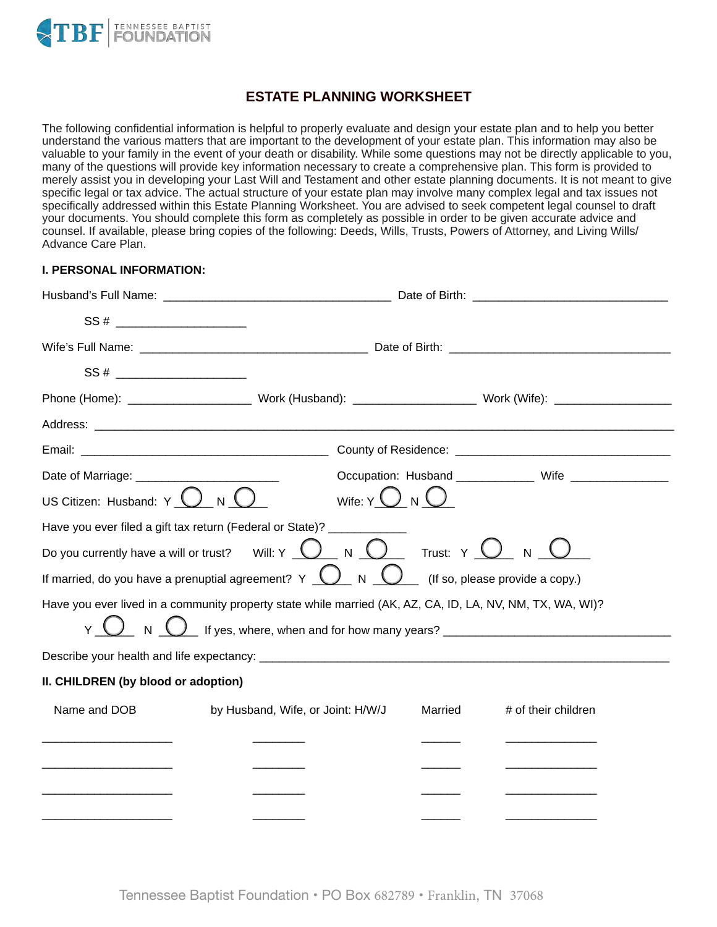

# **ESTATE PLANNING WORKSHEET**

The following confidential information is helpful to properly evaluate and design your estate plan and to help you better understand the various matters that are important to the development of your estate plan. This information may also be valuable to your family in the event of your death or disability. While some questions may not be directly applicable to you, many of the questions will provide key information necessary to create a comprehensive plan. This form is provided to merely assist you in developing your Last Will and Testament and other estate planning documents. It is not meant to give specific legal or tax advice. The actual structure of your estate plan may involve many complex legal and tax issues not specifically addressed within this Estate Planning Worksheet. You are advised to seek competent legal counsel to draft your documents. You should complete this form as completely as possible in order to be given accurate advice and counsel. If available, please bring copies of the following: Deeds, Wills, Trusts, Powers of Attorney, and Living Wills/ Advance Care Plan.

## **I. PERSONAL INFORMATION:**

| $SS#$ _________________________        |                                                                                                           |                       |                                                      |
|----------------------------------------|-----------------------------------------------------------------------------------------------------------|-----------------------|------------------------------------------------------|
|                                        |                                                                                                           |                       |                                                      |
|                                        |                                                                                                           |                       |                                                      |
|                                        |                                                                                                           |                       |                                                      |
|                                        |                                                                                                           |                       |                                                      |
|                                        |                                                                                                           |                       |                                                      |
|                                        |                                                                                                           |                       | Occupation: Husband ____________ Wife ______________ |
| US Citizen: Husband: $Y$ U N           |                                                                                                           | Wife: Y $\bigcup N$   |                                                      |
|                                        | Have you ever filed a gift tax return (Federal or State)? ________                                        |                       |                                                      |
| Do you currently have a will or trust? | Will: Y $\bigcup_{N} N$ $\bigcup$                                                                         | Trust: Y <sup>(</sup> |                                                      |
|                                        | If married, do you have a prenuptial agreement? $Y \cup N \cup N$ (If so, please provide a copy.)         |                       |                                                      |
|                                        | Have you ever lived in a community property state while married (AK, AZ, CA, ID, LA, NV, NM, TX, WA, WI)? |                       |                                                      |
|                                        |                                                                                                           |                       |                                                      |
| II. CHILDREN (by blood or adoption)    |                                                                                                           |                       |                                                      |
| Name and DOB                           | by Husband, Wife, or Joint: H/W/J                                                                         | Married               | # of their children                                  |
|                                        |                                                                                                           |                       |                                                      |
|                                        |                                                                                                           |                       |                                                      |
|                                        |                                                                                                           |                       |                                                      |
|                                        |                                                                                                           |                       |                                                      |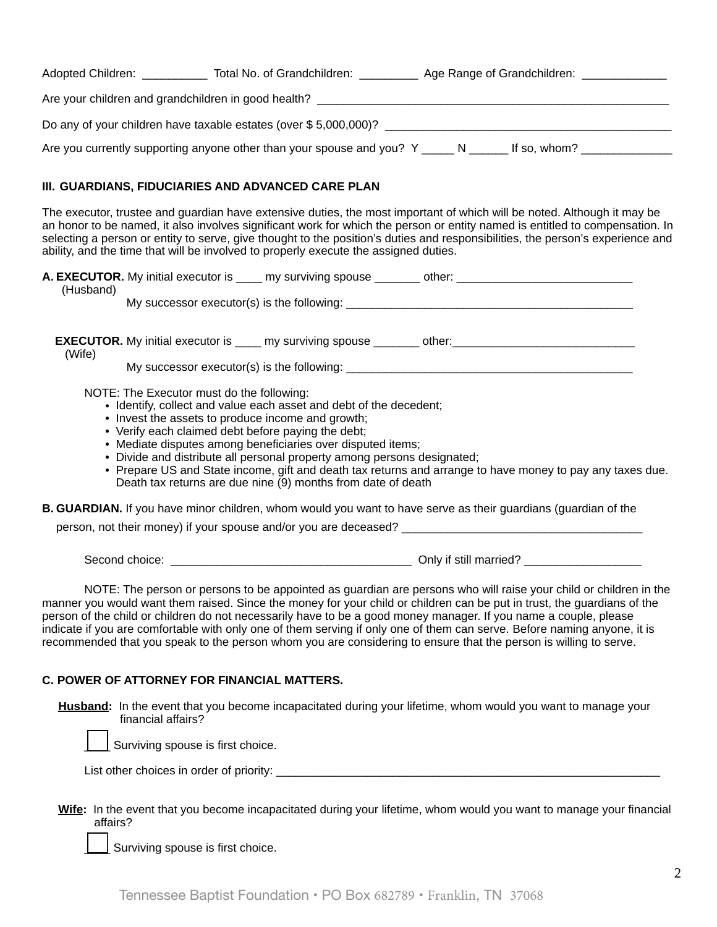| Adopted Children:                                   | Total No. of Grandchildren:                                           | Age Range of Grandchildren: |
|-----------------------------------------------------|-----------------------------------------------------------------------|-----------------------------|
| Are your children and grandchildren in good health? |                                                                       |                             |
|                                                     | Do any of your children have taxable estates (over \$5,000,000)?      |                             |
|                                                     | Are you currently supporting anyone other than your spouse and you? Y | If so, whom?<br>N           |

## **III. GUARDIANS, FIDUCIARIES AND ADVANCED CARE PLAN**

The executor, trustee and guardian have extensive duties, the most important of which will be noted. Although it may be an honor to be named, it also involves significant work for which the person or entity named is entitled to compensation. In selecting a person or entity to serve, give thought to the position's duties and responsibilities, the person's experience and ability, and the time that will be involved to properly execute the assigned duties.

| (Husband) |                                                                                                                                                                                                                                                                                           | A. EXECUTOR. My initial executor is _____ my surviving spouse _______ other: _____________________________                                                                                                                                                                                                                                                                                                                                                                                                                                                                                                      |
|-----------|-------------------------------------------------------------------------------------------------------------------------------------------------------------------------------------------------------------------------------------------------------------------------------------------|-----------------------------------------------------------------------------------------------------------------------------------------------------------------------------------------------------------------------------------------------------------------------------------------------------------------------------------------------------------------------------------------------------------------------------------------------------------------------------------------------------------------------------------------------------------------------------------------------------------------|
|           |                                                                                                                                                                                                                                                                                           |                                                                                                                                                                                                                                                                                                                                                                                                                                                                                                                                                                                                                 |
| (Wife)    |                                                                                                                                                                                                                                                                                           | <b>EXECUTOR.</b> My initial executor is _____ my surviving spouse ________ other: __________________________________                                                                                                                                                                                                                                                                                                                                                                                                                                                                                            |
|           |                                                                                                                                                                                                                                                                                           |                                                                                                                                                                                                                                                                                                                                                                                                                                                                                                                                                                                                                 |
|           | NOTE: The Executor must do the following:<br>• Identify, collect and value each asset and debt of the decedent;<br>• Invest the assets to produce income and growth;<br>• Verify each claimed debt before paying the debt;<br>• Mediate disputes among beneficiaries over disputed items; |                                                                                                                                                                                                                                                                                                                                                                                                                                                                                                                                                                                                                 |
|           | • Divide and distribute all personal property among persons designated;<br>Death tax returns are due nine (9) months from date of death                                                                                                                                                   | • Prepare US and State income, gift and death tax returns and arrange to have money to pay any taxes due.                                                                                                                                                                                                                                                                                                                                                                                                                                                                                                       |
|           |                                                                                                                                                                                                                                                                                           | <b>B. GUARDIAN.</b> If you have minor children, whom would you want to have serve as their guardians (guardian of the                                                                                                                                                                                                                                                                                                                                                                                                                                                                                           |
|           |                                                                                                                                                                                                                                                                                           | person, not their money) if your spouse and/or you are deceased? ___________________________________                                                                                                                                                                                                                                                                                                                                                                                                                                                                                                            |
|           |                                                                                                                                                                                                                                                                                           |                                                                                                                                                                                                                                                                                                                                                                                                                                                                                                                                                                                                                 |
|           |                                                                                                                                                                                                                                                                                           | NOTE: The person or persons to be appointed as guardian are persons who will raise your child or children in the<br>manner you would want them raised. Since the money for your child or children can be put in trust, the guardians of the<br>person of the child or children do not necessarily have to be a good money manager. If you name a couple, please<br>indicate if you are comfortable with only one of them serving if only one of them can serve. Before naming anyone, it is<br>recommended that you speak to the person whom you are considering to ensure that the person is willing to serve. |

#### **C. POWER OF ATTORNEY FOR FINANCIAL MATTERS.**

**Husband:** In the event that you become incapacitated during your lifetime, whom would you want to manage your financial affairs?

Surviving spouse is first choice.

List other choices in order of priority: \_\_\_\_\_\_\_\_\_\_\_\_\_\_\_\_\_\_\_\_\_\_\_\_\_\_\_\_\_\_\_\_\_\_\_\_\_\_\_\_\_\_\_\_\_\_\_\_\_\_\_\_\_\_\_\_\_\_\_

 **Wife:** In the event that you become incapacitated during your lifetime, whom would you want to manage your financial affairs?

Surviving spouse is first choice.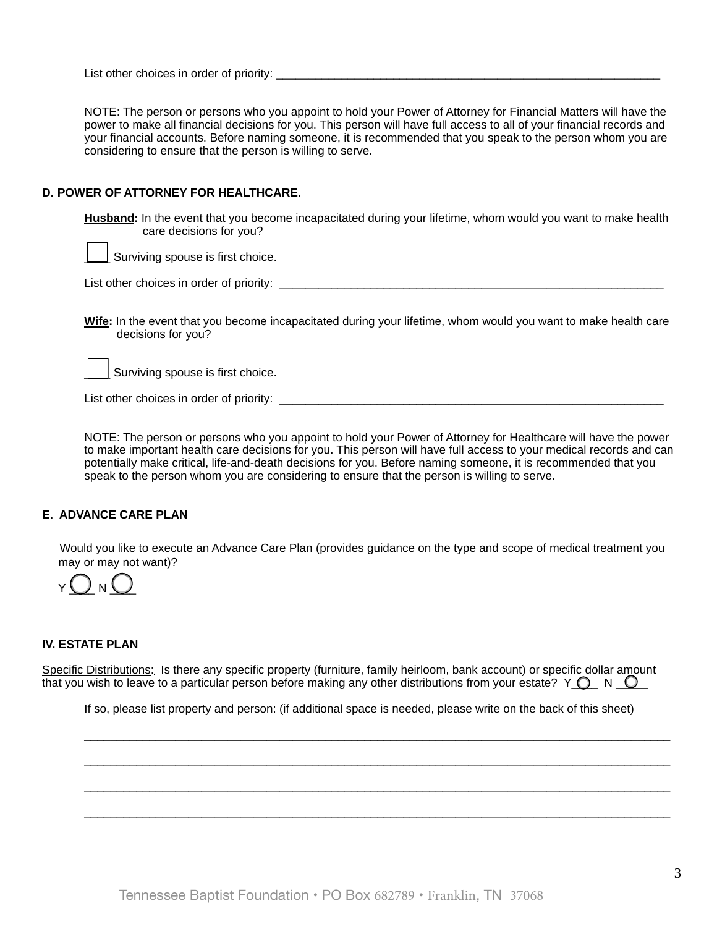List other choices in order of priority:

NOTE: The person or persons who you appoint to hold your Power of Attorney for Financial Matters will have the power to make all financial decisions for you. This person will have full access to all of your financial records and your financial accounts. Before naming someone, it is recommended that you speak to the person whom you are considering to ensure that the person is willing to serve.

## **D. POWER OF ATTORNEY FOR HEALTHCARE.**

**Husband:** In the event that you become incapacitated during your lifetime, whom would you want to make health care decisions for you?

Surviving spouse is first choice.

List other choices in order of priority: \_\_\_\_\_\_\_\_\_\_\_\_\_\_\_\_\_\_\_\_\_\_\_\_\_\_\_\_\_\_\_\_\_\_\_\_\_\_\_\_\_\_\_\_\_\_\_\_\_\_\_\_\_\_\_\_\_\_\_

**Wife:** In the event that you become incapacitated during your lifetime, whom would you want to make health care decisions for you?

Surviving spouse is first choice.

List other choices in order of priority: \_\_\_\_\_\_\_\_\_\_\_\_\_\_\_\_\_\_\_\_\_\_\_\_\_\_\_\_\_\_\_\_\_\_\_\_\_\_\_\_\_\_\_\_\_\_\_\_\_\_\_\_\_\_\_\_\_\_\_

NOTE: The person or persons who you appoint to hold your Power of Attorney for Healthcare will have the power to make important health care decisions for you. This person will have full access to your medical records and can potentially make critical, life-and-death decisions for you. Before naming someone, it is recommended that you speak to the person whom you are considering to ensure that the person is willing to serve.

## **E. ADVANCE CARE PLAN**

Would you like to execute an Advance Care Plan (provides guidance on the type and scope of medical treatment you may or may not want)?



## **IV. ESTATE PLAN**

Specific Distributions:. Is there any specific property (furniture, family heirloom, bank account) or specific dollar amount that you wish to leave to a particular person before making any other distributions from your estate?  $Y_Q \cap N_Q$ 

If so, please list property and person: (if additional space is needed, please write on the back of this sheet)

\_\_\_\_\_\_\_\_\_\_\_\_\_\_\_\_\_\_\_\_\_\_\_\_\_\_\_\_\_\_\_\_\_\_\_\_\_\_\_\_\_\_\_\_\_\_\_\_\_\_\_\_\_\_\_\_\_\_\_\_\_\_\_\_\_\_\_\_\_\_\_\_\_\_\_\_\_\_\_\_\_\_\_\_\_\_\_\_\_\_

\_\_\_\_\_\_\_\_\_\_\_\_\_\_\_\_\_\_\_\_\_\_\_\_\_\_\_\_\_\_\_\_\_\_\_\_\_\_\_\_\_\_\_\_\_\_\_\_\_\_\_\_\_\_\_\_\_\_\_\_\_\_\_\_\_\_\_\_\_\_\_\_\_\_\_\_\_\_\_\_\_\_\_\_\_\_\_\_\_\_

\_\_\_\_\_\_\_\_\_\_\_\_\_\_\_\_\_\_\_\_\_\_\_\_\_\_\_\_\_\_\_\_\_\_\_\_\_\_\_\_\_\_\_\_\_\_\_\_\_\_\_\_\_\_\_\_\_\_\_\_\_\_\_\_\_\_\_\_\_\_\_\_\_\_\_\_\_\_\_\_\_\_\_\_\_\_\_\_\_\_

\_\_\_\_\_\_\_\_\_\_\_\_\_\_\_\_\_\_\_\_\_\_\_\_\_\_\_\_\_\_\_\_\_\_\_\_\_\_\_\_\_\_\_\_\_\_\_\_\_\_\_\_\_\_\_\_\_\_\_\_\_\_\_\_\_\_\_\_\_\_\_\_\_\_\_\_\_\_\_\_\_\_\_\_\_\_\_\_\_\_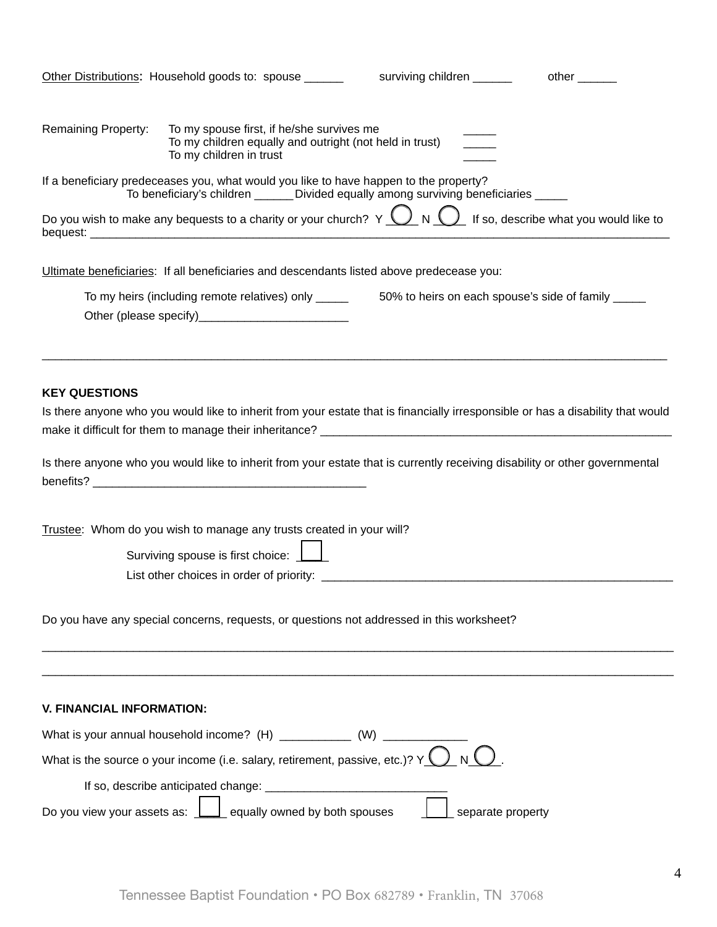|                                                                                                                                                                               | Other Distributions: Household goods to: spouse ______                                                                                                                                                                                                                                                                                                                                                                                                                                          |  | surviving children ______ | other $\_\_$ |  |
|-------------------------------------------------------------------------------------------------------------------------------------------------------------------------------|-------------------------------------------------------------------------------------------------------------------------------------------------------------------------------------------------------------------------------------------------------------------------------------------------------------------------------------------------------------------------------------------------------------------------------------------------------------------------------------------------|--|---------------------------|--------------|--|
| <b>Remaining Property:</b>                                                                                                                                                    | To my spouse first, if he/she survives me<br>To my children equally and outright (not held in trust)<br>To my children in trust                                                                                                                                                                                                                                                                                                                                                                 |  |                           |              |  |
| If a beneficiary predeceases you, what would you like to have happen to the property?<br>To beneficiary's children ______ Divided equally among surviving beneficiaries _____ |                                                                                                                                                                                                                                                                                                                                                                                                                                                                                                 |  |                           |              |  |
|                                                                                                                                                                               | Do you wish to make any bequests to a charity or your church? $Y \cup N \cup N$ If so, describe what you would like to                                                                                                                                                                                                                                                                                                                                                                          |  |                           |              |  |
|                                                                                                                                                                               | Ultimate beneficiaries: If all beneficiaries and descendants listed above predecease you:                                                                                                                                                                                                                                                                                                                                                                                                       |  |                           |              |  |
|                                                                                                                                                                               | To my heirs (including remote relatives) only ______ 50% to heirs on each spouse's side of family _____                                                                                                                                                                                                                                                                                                                                                                                         |  |                           |              |  |
| <b>KEY QUESTIONS</b>                                                                                                                                                          | Is there anyone who you would like to inherit from your estate that is financially irresponsible or has a disability that would<br>Is there anyone who you would like to inherit from your estate that is currently receiving disability or other governmental<br>benefits? The contract of the contract of the contract of the contract of the contract of the contract of the contract of the contract of the contract of the contract of the contract of the contract of the contract of the |  |                           |              |  |
|                                                                                                                                                                               | Trustee: Whom do you wish to manage any trusts created in your will?<br>Surviving spouse is first choice:<br>List other choices in order of priority:                                                                                                                                                                                                                                                                                                                                           |  |                           |              |  |
|                                                                                                                                                                               | Do you have any special concerns, requests, or questions not addressed in this worksheet?                                                                                                                                                                                                                                                                                                                                                                                                       |  |                           |              |  |
| <b>V. FINANCIAL INFORMATION:</b>                                                                                                                                              |                                                                                                                                                                                                                                                                                                                                                                                                                                                                                                 |  |                           |              |  |
|                                                                                                                                                                               | What is your annual household income? (H) ______________ (W) __________                                                                                                                                                                                                                                                                                                                                                                                                                         |  |                           |              |  |
|                                                                                                                                                                               | What is the source o your income (i.e. salary, retirement, passive, etc.)? $Y$                                                                                                                                                                                                                                                                                                                                                                                                                  |  |                           |              |  |
|                                                                                                                                                                               |                                                                                                                                                                                                                                                                                                                                                                                                                                                                                                 |  |                           |              |  |
|                                                                                                                                                                               | Do you view your assets as: $\boxed{\underline{\qquad}}$ equally owned by both spouses                                                                                                                                                                                                                                                                                                                                                                                                          |  | separate property         |              |  |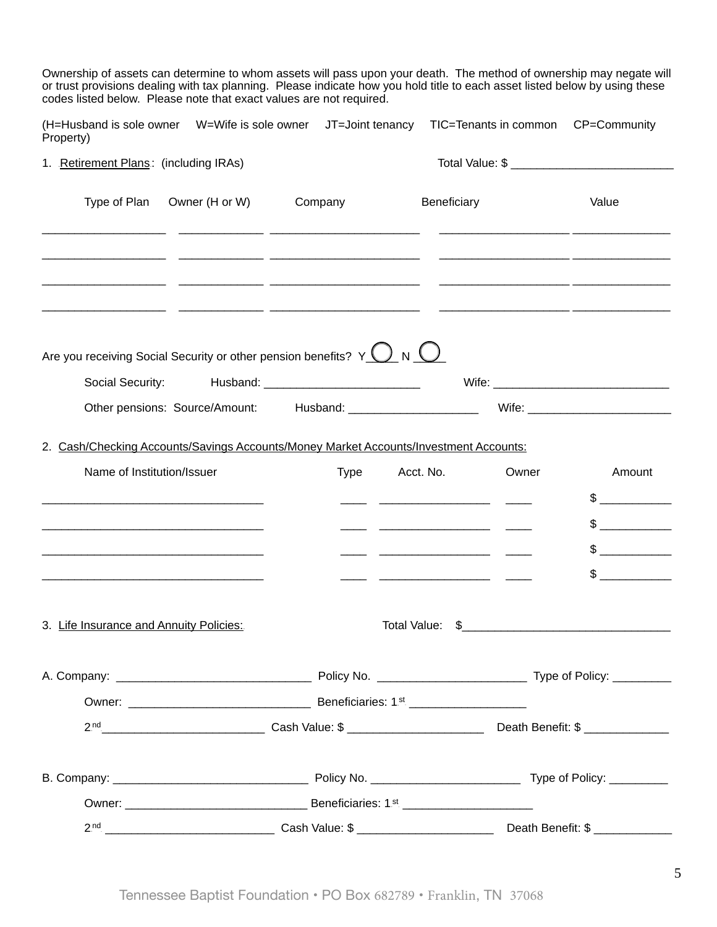Ownership of assets can determine to whom assets will pass upon your death. The method of ownership may negate will or trust provisions dealing with tax planning. Please indicate how you hold title to each asset listed below by using these codes listed below. Please note that exact values are not required.

| Property)                                                                                                                            |                                           |              |               |               |
|--------------------------------------------------------------------------------------------------------------------------------------|-------------------------------------------|--------------|---------------|---------------|
| 1. Retirement Plans: (including IRAs)                                                                                                |                                           |              |               |               |
| Type of Plan Owner (H or W)                                                                                                          | Company                                   | Beneficiary  |               | Value         |
| <u> 1990 - Jan James James (f. 1980). James James James (f. 1980).</u><br><u> 1990 - Jan James James, martin amerikan (h. 1980).</u> |                                           |              |               |               |
| Are you receiving Social Security or other pension benefits? $Y$ $\bigcup N$ $\bigcup$                                               |                                           |              |               |               |
| Social Security:                                                                                                                     | Husband: ________________________________ |              |               |               |
|                                                                                                                                      |                                           |              |               |               |
| 2. Cash/Checking Accounts/Savings Accounts/Money Market Accounts/Investment Accounts:<br>Name of Institution/Issuer                  | Type                                      | Acct. No.    | Owner         | Amount        |
| <u> 1989 - Johann Barbara, martxa alemaniar amerikan basar da a</u>                                                                  |                                           |              |               | $\frac{1}{2}$ |
| <u> 1989 - Johann Barbara, martxa alemaniar argumento de la contrada de la contrada de la contrada de la contrad</u>                 |                                           |              |               | $\frac{1}{2}$ |
|                                                                                                                                      |                                           |              |               | $\frac{1}{2}$ |
| <u> 1989 - Johann Barbara, martxa al III-lea (h. 1989).</u>                                                                          |                                           |              |               | $\frac{1}{2}$ |
| 3. Life Insurance and Annuity Policies:                                                                                              |                                           | Total Value: | $\frac{1}{2}$ |               |
|                                                                                                                                      |                                           |              |               |               |
|                                                                                                                                      |                                           |              |               |               |
|                                                                                                                                      |                                           |              |               |               |
|                                                                                                                                      |                                           |              |               |               |
|                                                                                                                                      |                                           |              |               |               |
|                                                                                                                                      |                                           |              |               |               |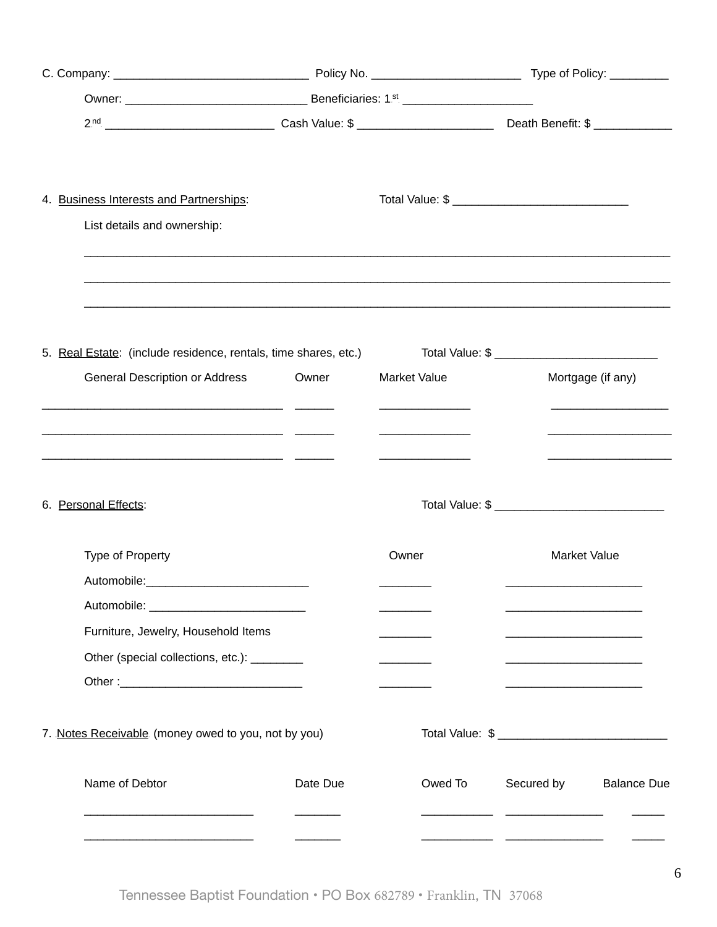| 2 <sup>nd</sup> _______________________________Cash Value: \$ _____________________________Death Benefit: \$ ______________                                                                                                                         |          |                                                                                                           |                                                                                                                                            |
|-----------------------------------------------------------------------------------------------------------------------------------------------------------------------------------------------------------------------------------------------------|----------|-----------------------------------------------------------------------------------------------------------|--------------------------------------------------------------------------------------------------------------------------------------------|
| 4. Business Interests and Partnerships:<br>List details and ownership:                                                                                                                                                                              |          |                                                                                                           |                                                                                                                                            |
| 5. Real Estate: (include residence, rentals, time shares, etc.)<br>General Description or Address <b>Community</b> Owner<br><u> 1980 - Jan Samuel Barbara, margaret e</u> n 1980 eta 1980 eta 1980 eta 1980 eta 1980 eta 1980 eta 1980 eta 1980 eta |          | Market Value<br>the control of the control of the control of the control of the control of the control of | <u> 1989 - Johann Stoff, deutscher Stoff, der Stoff, der Stoff, der Stoff, der Stoff, der Stoff, der Stoff, der S</u><br>Mortgage (if any) |
| 6. Personal Effects:                                                                                                                                                                                                                                |          | <u> 1989 - Johann Barbara, martin a</u>                                                                   | <u> 1980 - Johann Barn, mars an t-Amerikaansk politiker (</u>                                                                              |
| <b>Type of Property</b><br>Automobile: _______________________________<br>Furniture, Jewelry, Household Items<br>Other (special collections, etc.): ________                                                                                        |          | Owner                                                                                                     | <b>Market Value</b>                                                                                                                        |
| 7. Notes Receivable (money owed to you, not by you)                                                                                                                                                                                                 |          |                                                                                                           |                                                                                                                                            |
| Name of Debtor                                                                                                                                                                                                                                      | Date Due | Owed To                                                                                                   | Secured by<br><b>Balance Due</b>                                                                                                           |
|                                                                                                                                                                                                                                                     |          |                                                                                                           |                                                                                                                                            |